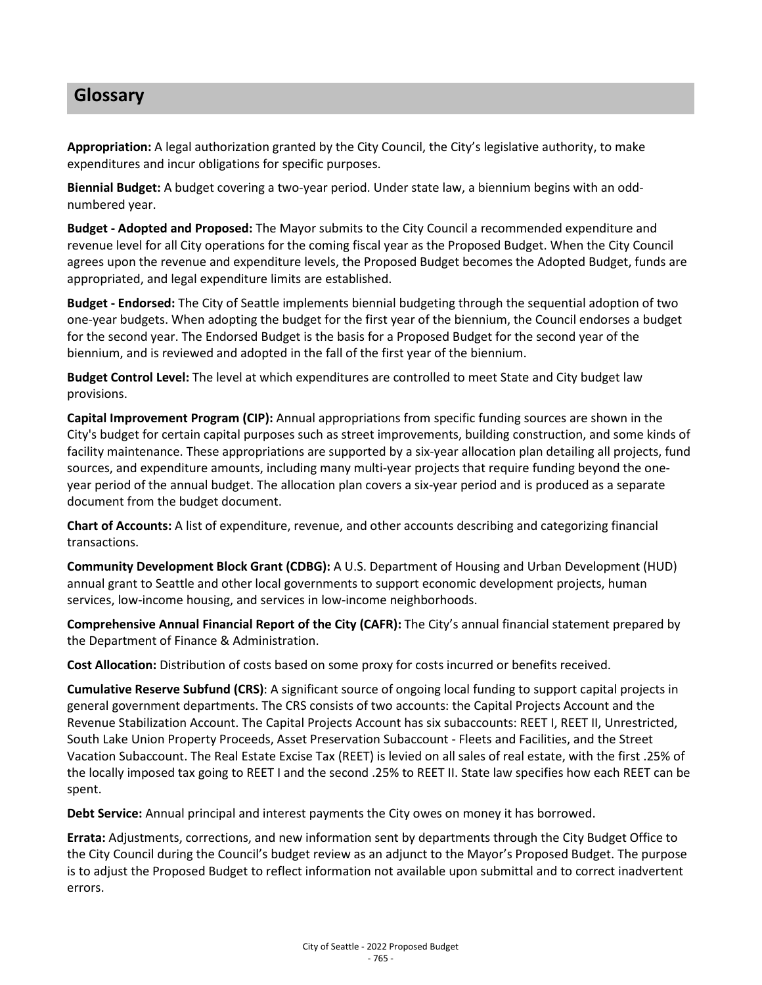## **Glossary**

**Appropriation:** A legal authorization granted by the City Council, the City's legislative authority, to make expenditures and incur obligations for specific purposes.

**Biennial Budget:** A budget covering a two-year period. Under state law, a biennium begins with an oddnumbered year.

**Budget - Adopted and Proposed:** The Mayor submits to the City Council a recommended expenditure and revenue level for all City operations for the coming fiscal year as the Proposed Budget. When the City Council agrees upon the revenue and expenditure levels, the Proposed Budget becomes the Adopted Budget, funds are appropriated, and legal expenditure limits are established.

**Budget - Endorsed:** The City of Seattle implements biennial budgeting through the sequential adoption of two one-year budgets. When adopting the budget for the first year of the biennium, the Council endorses a budget for the second year. The Endorsed Budget is the basis for a Proposed Budget for the second year of the biennium, and is reviewed and adopted in the fall of the first year of the biennium.

**Budget Control Level:** The level at which expenditures are controlled to meet State and City budget law provisions.

**Capital Improvement Program (CIP):** Annual appropriations from specific funding sources are shown in the City's budget for certain capital purposes such as street improvements, building construction, and some kinds of facility maintenance. These appropriations are supported by a six-year allocation plan detailing all projects, fund sources, and expenditure amounts, including many multi-year projects that require funding beyond the oneyear period of the annual budget. The allocation plan covers a six-year period and is produced as a separate document from the budget document.

**Chart of Accounts:** A list of expenditure, revenue, and other accounts describing and categorizing financial transactions.

**Community Development Block Grant (CDBG):** A U.S. Department of Housing and Urban Development (HUD) annual grant to Seattle and other local governments to support economic development projects, human services, low-income housing, and services in low-income neighborhoods.

**Comprehensive Annual Financial Report of the City (CAFR):** The City's annual financial statement prepared by the Department of Finance & Administration.

**Cost Allocation:** Distribution of costs based on some proxy for costs incurred or benefits received.

**Cumulative Reserve Subfund (CRS)**: A significant source of ongoing local funding to support capital projects in general government departments. The CRS consists of two accounts: the Capital Projects Account and the Revenue Stabilization Account. The Capital Projects Account has six subaccounts: REET I, REET II, Unrestricted, South Lake Union Property Proceeds, Asset Preservation Subaccount - Fleets and Facilities, and the Street Vacation Subaccount. The Real Estate Excise Tax (REET) is levied on all sales of real estate, with the first .25% of the locally imposed tax going to REET I and the second .25% to REET II. State law specifies how each REET can be spent.

**Debt Service:** Annual principal and interest payments the City owes on money it has borrowed.

**Errata:** Adjustments, corrections, and new information sent by departments through the City Budget Office to the City Council during the Council's budget review as an adjunct to the Mayor's Proposed Budget. The purpose is to adjust the Proposed Budget to reflect information not available upon submittal and to correct inadvertent errors.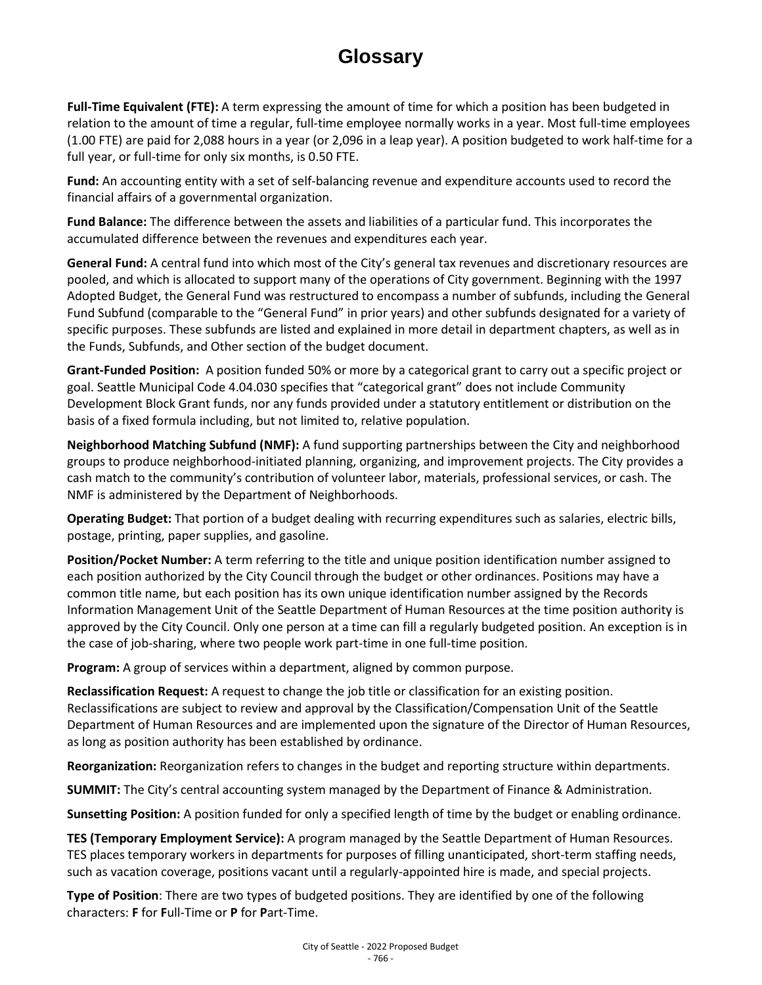## **Glossary**

**Full-Time Equivalent (FTE):** A term expressing the amount of time for which a position has been budgeted in relation to the amount of time a regular, full-time employee normally works in a year. Most full-time employees (1.00 FTE) are paid for 2,088 hours in a year (or 2,096 in a leap year). A position budgeted to work half-time for a full year, or full-time for only six months, is 0.50 FTE.

**Fund:** An accounting entity with a set of self-balancing revenue and expenditure accounts used to record the financial affairs of a governmental organization.

**Fund Balance:** The difference between the assets and liabilities of a particular fund. This incorporates the accumulated difference between the revenues and expenditures each year.

**General Fund:** A central fund into which most of the City's general tax revenues and discretionary resources are pooled, and which is allocated to support many of the operations of City government. Beginning with the 1997 Adopted Budget, the General Fund was restructured to encompass a number of subfunds, including the General Fund Subfund (comparable to the "General Fund" in prior years) and other subfunds designated for a variety of specific purposes. These subfunds are listed and explained in more detail in department chapters, as well as in the Funds, Subfunds, and Other section of the budget document.

**Grant-Funded Position:** A position funded 50% or more by a categorical grant to carry out a specific project or goal. Seattle Municipal Code 4.04.030 specifies that "categorical grant" does not include Community Development Block Grant funds, nor any funds provided under a statutory entitlement or distribution on the basis of a fixed formula including, but not limited to, relative population.

**Neighborhood Matching Subfund (NMF):** A fund supporting partnerships between the City and neighborhood groups to produce neighborhood-initiated planning, organizing, and improvement projects. The City provides a cash match to the community's contribution of volunteer labor, materials, professional services, or cash. The NMF is administered by the Department of Neighborhoods.

**Operating Budget:** That portion of a budget dealing with recurring expenditures such as salaries, electric bills, postage, printing, paper supplies, and gasoline.

**Position/Pocket Number:** A term referring to the title and unique position identification number assigned to each position authorized by the City Council through the budget or other ordinances. Positions may have a common title name, but each position has its own unique identification number assigned by the Records Information Management Unit of the Seattle Department of Human Resources at the time position authority is approved by the City Council. Only one person at a time can fill a regularly budgeted position. An exception is in the case of job-sharing, where two people work part-time in one full-time position.

**Program:** A group of services within a department, aligned by common purpose.

**Reclassification Request:** A request to change the job title or classification for an existing position. Reclassifications are subject to review and approval by the Classification/Compensation Unit of the Seattle Department of Human Resources and are implemented upon the signature of the Director of Human Resources, as long as position authority has been established by ordinance.

**Reorganization:** Reorganization refers to changes in the budget and reporting structure within departments.

**SUMMIT:** The City's central accounting system managed by the Department of Finance & Administration.

**Sunsetting Position:** A position funded for only a specified length of time by the budget or enabling ordinance.

**TES (Temporary Employment Service):** A program managed by the Seattle Department of Human Resources. TES places temporary workers in departments for purposes of filling unanticipated, short-term staffing needs, such as vacation coverage, positions vacant until a regularly-appointed hire is made, and special projects.

**Type of Position**: There are two types of budgeted positions. They are identified by one of the following characters: **F** for **F**ull-Time or **P** for **P**art-Time.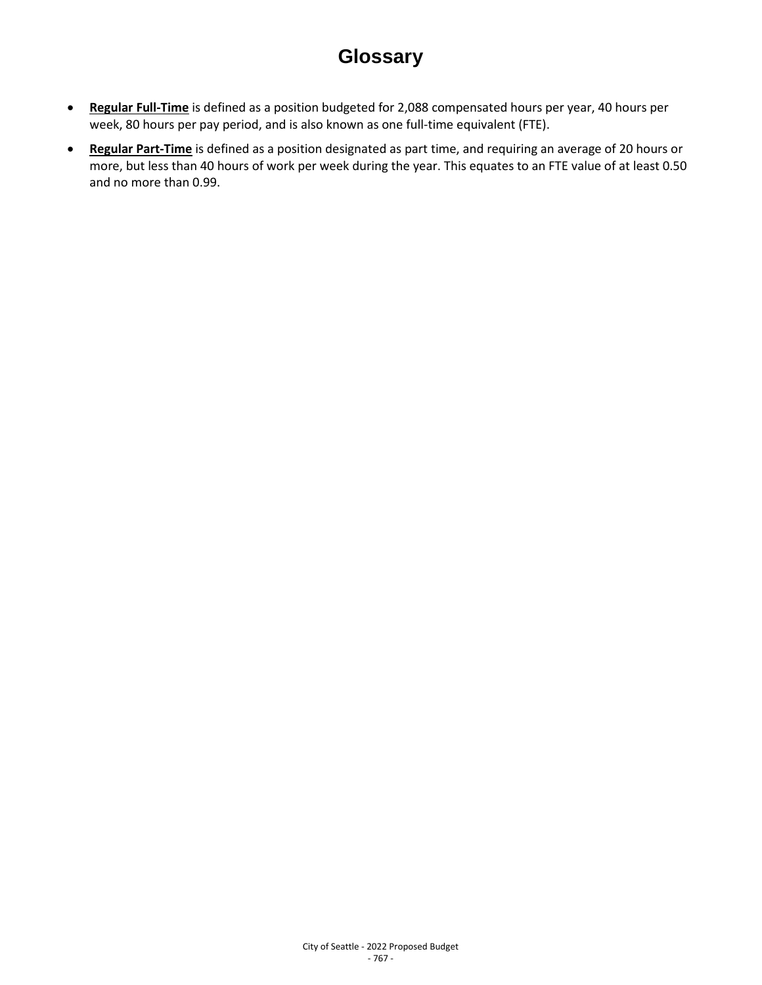## **Glossary**

- **Regular Full-Time** is defined as a position budgeted for 2,088 compensated hours per year, 40 hours per week, 80 hours per pay period, and is also known as one full-time equivalent (FTE).
- **Regular Part-Time** is defined as a position designated as part time, and requiring an average of 20 hours or more, but less than 40 hours of work per week during the year. This equates to an FTE value of at least 0.50 and no more than 0.99.